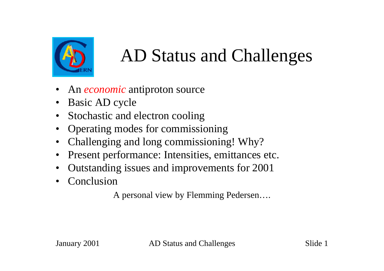

### AD Status and Challenges

- An *economic* antiproton source
- Basic AD cycle
- Stochastic and electron cooling
- Operating modes for commissioning
- Challenging and long commissioning! Why?
- Present performance: Intensities, emittances etc.
- Outstanding issues and improvements for 2001
- **Conclusion**

A personal view by Flemming Pedersen….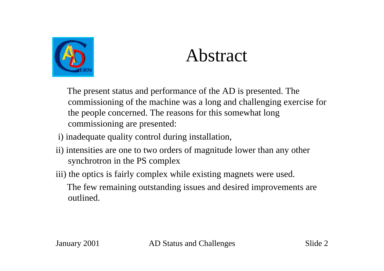

#### Abstract

 The present status and performance of the AD is presented. The commissioning of the machine was a long and challenging exercise for the people concerned. The reasons for this somewhat long commissioning are presented:

- i) inadequate quality control during installation,
- ii) intensities are one to two orders of magnitude lower than any other synchrotron in the PS complex
- iii) the optics is fairly complex while existing magnets were used.

 The few remaining outstanding issues and desired improvements are outlined.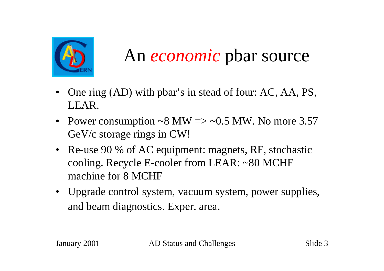

#### An *economic* pbar source

- One ring (AD) with pbar's in stead of four: AC, AA, PS, LEAR.
- Power consumption ~8 MW  $\Rightarrow$  ~0.5 MW. No more 3.57 GeV/c storage rings in CW!
- Re-use 90 % of AC equipment: magnets, RF, stochastic cooling. Recycle E-cooler from LEAR: ~80 MCHF machine for 8 MCHF
- Upgrade control system, vacuum system, power supplies, and beam diagnostics. Exper. area.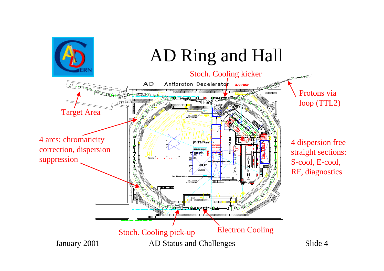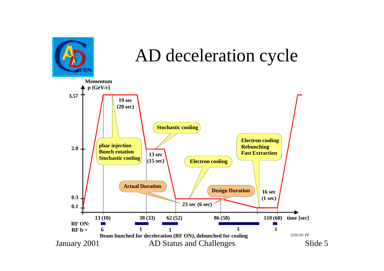

#### AD deceleration cycle

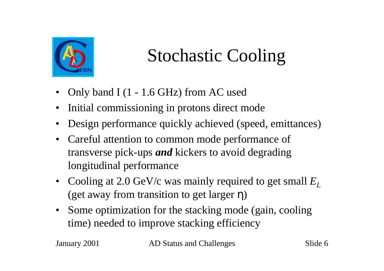

# Stochastic Cooling

- Only band I (1 1.6 GHz) from AC used
- Initial commissioning in protons direct mode
- Design performance quickly achieved (speed, emittances)
- Careful attention to common mode performance of transverse pick-ups *and* kickers to avoid degrading longitudinal performance
- Cooling at 2.0 GeV/c was mainly required to get small  $E_I$ (get away from transition to get larger η)
- Some optimization for the stacking mode (gain, cooling time) needed to improve stacking efficiency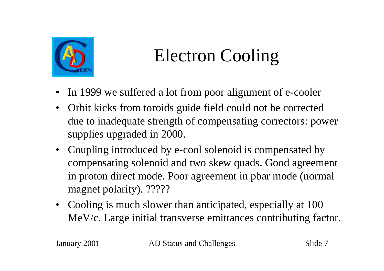

# Electron Cooling

- In 1999 we suffered a lot from poor alignment of e-cooler
- Orbit kicks from toroids guide field could not be corrected due to inadequate strength of compensating correctors: power supplies upgraded in 2000.
- Coupling introduced by e-cool solenoid is compensated by compensating solenoid and two skew quads. Good agreement in proton direct mode. Poor agreement in pbar mode (normal magnet polarity). ?????
- Cooling is much slower than anticipated, especially at 100 MeV/c. Large initial transverse emittances contributing factor.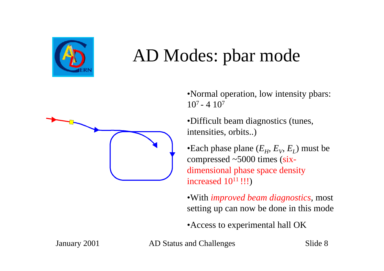

#### AD Modes: pbar mode



•Normal operation, low intensity pbars:  $10^7 - 4 \cdot 10^7$ 

•Difficult beam diagnostics (tunes, intensities, orbits..)

•Each phase plane  $(E_H, E_V, E_L)$  must be compressed ~5000 times (sixdimensional phase space density increased  $10^{11}$ !!!)

•With *improved beam diagnostics*, most setting up can now be done in this mode

•Access to experimental hall OK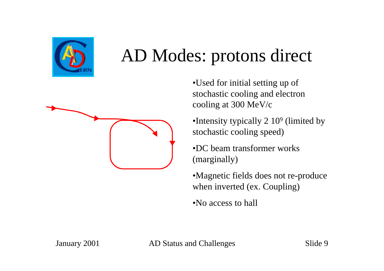

#### AD Modes: protons direct



•Used for initial setting up of stochastic cooling and electron cooling at 300 MeV/c

•Intensity typically 2 10<sup>9</sup> (limited by stochastic cooling speed)

•DC beam transformer works (marginally)

•Magnetic fields does not re-produce when inverted (ex. Coupling)

•No access to hall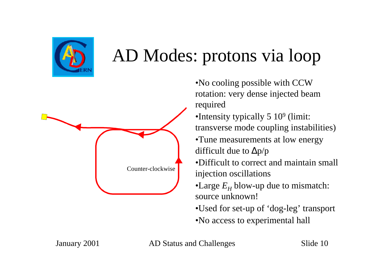

### AD Modes: protons via loop



- •No cooling possible with CCW rotation: very dense injected beam required
- •Intensity typically 5 10<sup>9</sup> (limit: transverse mode coupling instabilities)
- •Tune measurements at low energy difficult due to  $\Delta p/p$
- •Difficult to correct and maintain small injection oscillations
- •Large  $E_H$  blow-up due to mismatch: source unknown!
- •Used for set-up of 'dog-leg' transport
- •No access to experimental hall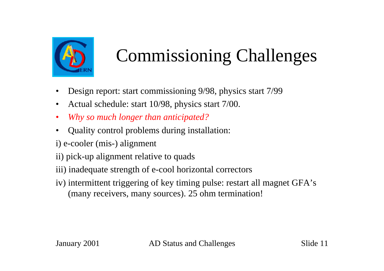

- Design report: start commissioning 9/98, physics start 7/99
- Actual schedule: start 10/98, physics start 7/00.
- *Why so much longer than anticipated?*
- Quality control problems during installation:
- i) e-cooler (mis-) alignment
- ii) pick-up alignment relative to quads
- iii) inadequate strength of e-cool horizontal correctors
- iv) intermittent triggering of key timing pulse: restart all magnet GFA's (many receivers, many sources). 25 ohm termination!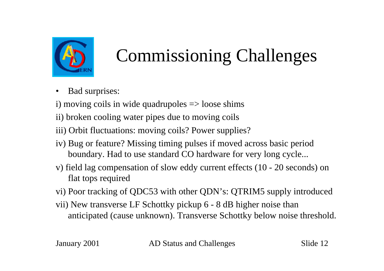

• Bad surprises:

i) moving coils in wide quadrupoles  $\Rightarrow$  loose shims

ii) broken cooling water pipes due to moving coils

iii) Orbit fluctuations: moving coils? Power supplies?

- iv) Bug or feature? Missing timing pulses if moved across basic period boundary. Had to use standard CO hardware for very long cycle...
- v) field lag compensation of slow eddy current effects (10 20 seconds) on flat tops required
- vi) Poor tracking of QDC53 with other QDN's: QTRIM5 supply introduced
- vii) New transverse LF Schottky pickup 6 8 dB higher noise than anticipated (cause unknown). Transverse Schottky below noise threshold.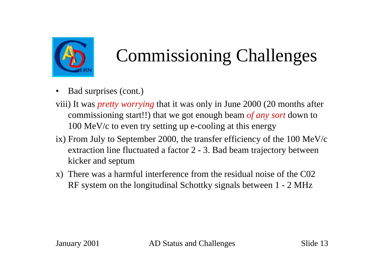

- Bad surprises (cont.)
- viii) It was *pretty worrying* that it was only in June 2000 (20 months after commissioning start!!) that we got enough beam *of any sort* down to 100 MeV/c to even try setting up e-cooling at this energy
- ix) From July to September 2000, the transfer efficiency of the 100 MeV/c extraction line fluctuated a factor 2 - 3. Bad beam trajectory between kicker and septum
- x) There was a harmful interference from the residual noise of the C02 RF system on the longitudinal Schottky signals between 1 - 2 MHz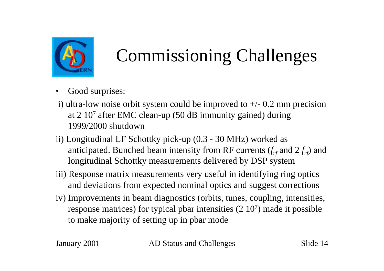

- Good surprises:
- i) ultra-low noise orbit system could be improved to  $+/- 0.2$  mm precision at 2 10<sup>7</sup> after EMC clean-up (50 dB immunity gained) during 1999/2000 shutdown
- ii) Longitudinal LF Schottky pick-up (0.3 30 MHz) worked as anticipated. Bunched beam intensity from RF currents  $(f<sub>rf</sub>$  and  $2f<sub>rf</sub>$ ) and longitudinal Schottky measurements delivered by DSP system
- iii) Response matrix measurements very useful in identifying ring optics and deviations from expected nominal optics and suggest corrections
- iv) Improvements in beam diagnostics (orbits, tunes, coupling, intensities, response matrices) for typical pbar intensities (2 10<sup>7</sup> ) made it possible to make majority of setting up in pbar mode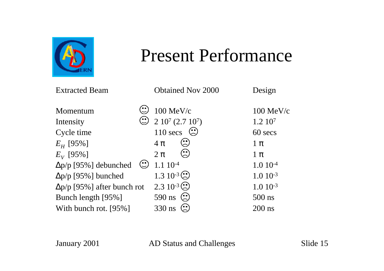

#### Present Performance

| <b>Extracted Beam</b>              | <b>Obtained Nov 2000</b>                                                           | Design       |
|------------------------------------|------------------------------------------------------------------------------------|--------------|
| Momentum                           | $100$ MeV/c                                                                        | $100$ MeV/c  |
| Intensity                          | $\ddot{ }$ 2 10 <sup>7</sup> (2.7 10 <sup>7</sup> )                                | $1.2\;10^7$  |
| Cycle time                         | $110$ secs                                                                         | 60 secs      |
| $E_H$ [95%]                        | $4\pi$                                                                             | $1 \pi$      |
| $E_V$ [95%]                        | $\left( \begin{matrix} \bullet & \bullet \ \bullet \end{matrix} \right)$<br>$2\pi$ | $1 \pi$      |
| $\Delta p/p$ [95%] debunched       | $1.110^{-4}$                                                                       | $1.010^{-4}$ |
| $\Delta p/p$ [95%] bunched         | $1.3 \ 10^{-3}$                                                                    | $1.010^{-3}$ |
| $\Delta p/p$ [95%] after bunch rot | $2.3 \ 10^{-3}$                                                                    | $1.010^{-3}$ |
| Bunch length [95%]                 | 590 ns $\left\langle \cdot \right\rangle$                                          | 500 ns       |
| With bunch rot. [95%]              | 330 ns                                                                             | $200$ ns     |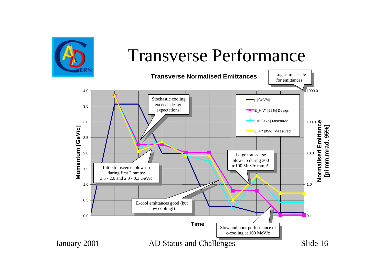

#### Transverse Performance

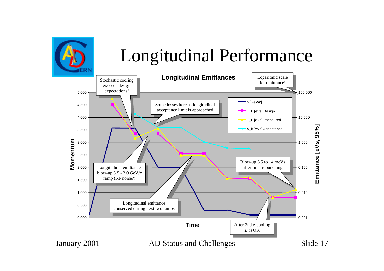

#### Longitudinal Performance

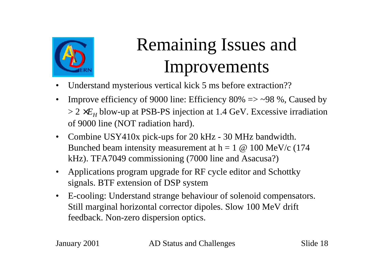

# Remaining Issues and Improvements

- Understand mysterious vertical kick 5 ms before extraction??
- Improve efficiency of 9000 line: Efficiency 80%  $\Rightarrow$  ~98 %, Caused by > 2 ×*E<sup>H</sup>* blow-up at PSB-PS injection at 1.4 GeV. Excessive irradiation of 9000 line (NOT radiation hard).
- Combine USY410x pick-ups for 20 kHz 30 MHz bandwidth. Bunched beam intensity measurement at  $h = 1 \omega 100 \text{ MeV/c}$  (174 kHz). TFA7049 commissioning (7000 line and Asacusa?)
- Applications program upgrade for RF cycle editor and Schottky signals. BTF extension of DSP system
- E-cooling: Understand strange behaviour of solenoid compensators. Still marginal horizontal corrector dipoles. Slow 100 MeV drift feedback. Non-zero dispersion optics.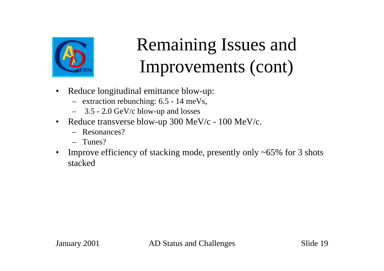

### Remaining Issues and Improvements (cont)

- Reduce longitudinal emittance blow-up:
	- extraction rebunching: 6.5 14 meVs,
	- 3.5 2.0 GeV/c blow-up and losses
- Reduce transverse blow-up 300 MeV/c 100 MeV/c.
	- Resonances?
	- Tunes?
- Improve efficiency of stacking mode, presently only ~65% for 3 shots stacked